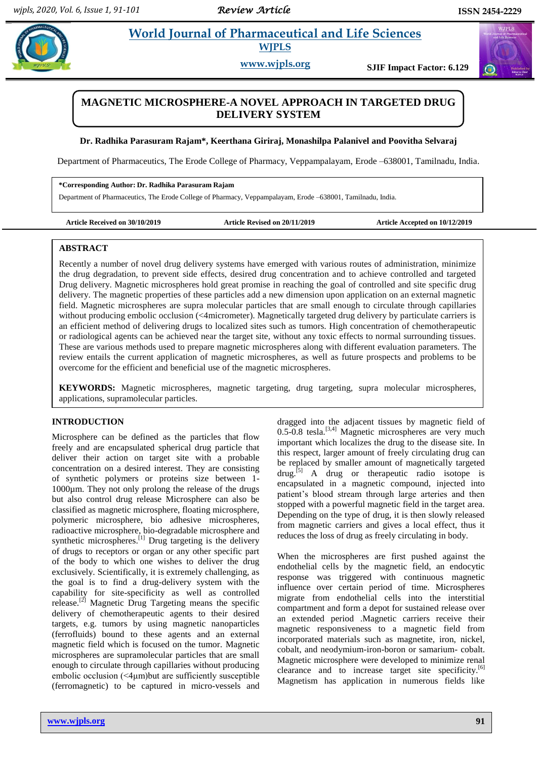# **Paradhiga** *E***t al.** *2013**et al. <b>Pharmaceutical and Life Sciences* **WJPLS**

**www.wjpls.org SJIF Impact Factor: 6.129**

## **MAGNETIC MICROSPHERE-A NOVEL APPROACH IN TARGETED DRUG DELIVERY SYSTEM**

## **Dr. Radhika Parasuram Rajam\*, Keerthana Giriraj, Monashilpa Palanivel and Poovitha Selvaraj**

Department of Pharmaceutics, The Erode College of Pharmacy, Veppampalayam, Erode –638001, Tamilnadu, India.

#### **\*Corresponding Author: Dr. Radhika Parasuram Rajam**

Department of Pharmaceutics, The Erode College of Pharmacy, Veppampalayam, Erode –638001, Tamilnadu, India.

**Article Received on 30/10/2019 Article Revised on 20/11/2019 Article Accepted on 10/12/2019**

## **ABSTRACT**

Recently a number of novel drug delivery systems have emerged with various routes of administration, minimize the drug degradation, to prevent side effects, desired drug concentration and to achieve controlled and targeted Drug delivery. Magnetic microspheres hold great promise in reaching the goal of controlled and site specific drug delivery. The magnetic properties of these particles add a new dimension upon application on an external magnetic field. Magnetic microspheres are supra molecular particles that are small enough to circulate through capillaries without producing embolic occlusion (<4micrometer). Magnetically targeted drug delivery by particulate carriers is an efficient method of delivering drugs to localized sites such as tumors. High concentration of chemotherapeutic or radiological agents can be achieved near the target site, without any toxic effects to normal surrounding tissues. These are various methods used to prepare magnetic microspheres along with different evaluation parameters. The review entails the current application of magnetic microspheres, as well as future prospects and problems to be overcome for the efficient and beneficial use of the magnetic microspheres.

**KEYWORDS:** Magnetic microspheres, magnetic targeting, drug targeting, supra molecular microspheres, applications, supramolecular particles.

## **INTRODUCTION**

Microsphere can be defined as the particles that flow freely and are encapsulated spherical drug particle that deliver their action on target site with a probable concentration on a desired interest. They are consisting of synthetic polymers or proteins size between 1- 1000µm. They not only prolong the release of the drugs but also control drug release Microsphere can also be classified as magnetic microsphere, floating microsphere, polymeric microsphere, bio adhesive microspheres, radioactive microsphere, bio-degradable microsphere and synthetic microspheres.<sup>[1]</sup> Drug targeting is the delivery of drugs to receptors or organ or any other specific part of the body to which one wishes to deliver the drug exclusively. Scientifically, it is extremely challenging, as the goal is to find a drug-delivery system with the capability for site-specificity as well as controlled release.[2] Magnetic Drug Targeting means the specific delivery of chemotherapeutic agents to their desired targets, e.g. tumors by using magnetic nanoparticles (ferrofluids) bound to these agents and an external magnetic field which is focused on the tumor. Magnetic microspheres are supramolecular particles that are small enough to circulate through capillaries without producing embolic occlusion (<4μm)but are sufficiently susceptible (ferromagnetic) to be captured in micro-vessels and

dragged into the adjacent tissues by magnetic field of  $0.5-0.8$  tesla.<sup>[3,4]</sup> Magnetic microspheres are very much important which localizes the drug to the disease site. In this respect, larger amount of freely circulating drug can be replaced by smaller amount of magnetically targeted  $\text{drug.}^{[5]}$  A drug or therapeutic radio isotope is encapsulated in a magnetic compound, injected into patient's blood stream through large arteries and then stopped with a powerful magnetic field in the target area. Depending on the type of drug, it is then slowly released from magnetic carriers and gives a local effect, thus it reduces the loss of drug as freely circulating in body.

When the microspheres are first pushed against the endothelial cells by the magnetic field, an endocytic response was triggered with continuous magnetic influence over certain period of time. Microspheres migrate from endothelial cells into the interstitial compartment and form a depot for sustained release over an extended period .Magnetic carriers receive their magnetic responsiveness to a magnetic field from incorporated materials such as magnetite, iron, nickel, cobalt, and neodymium-iron-boron or samarium- cobalt. Magnetic microsphere were developed to minimize renal clearance and to increase target site specificity.<sup>[6]</sup> Magnetism has application in numerous fields like



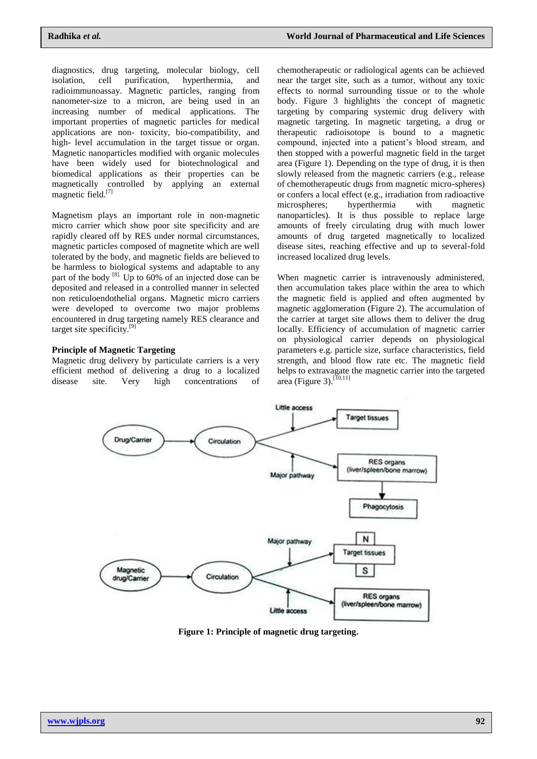diagnostics, drug targeting, molecular biology, cell isolation, cell purification, hyperthermia, and radioimmunoassay. Magnetic particles, ranging from nanometer-size to a micron, are being used in an increasing number of medical applications. The important properties of magnetic particles for medical applications are non- toxicity, bio-compatibility, and high- level accumulation in the target tissue or organ. Magnetic nanoparticles modified with organic molecules have been widely used for biotechnological and biomedical applications as their properties can be magnetically controlled by applying an external magnetic field.<sup>[7]</sup>

Magnetism plays an important role in non-magnetic micro carrier which show poor site specificity and are rapidly cleared off by RES under normal circumstances, magnetic particles composed of magnetite which are well tolerated by the body, and magnetic fields are believed to be harmless to biological systems and adaptable to any part of the body  $^{[8]}$ . Up to 60% of an injected dose can be deposited and released in a controlled manner in selected non reticuloendothelial organs. Magnetic micro carriers were developed to overcome two major problems encountered in drug targeting namely RES clearance and target site specificity.[9]

## **Principle of Magnetic Targeting**

Magnetic drug delivery by particulate carriers is a very efficient method of delivering a drug to a localized disease site. Very high concentrations of chemotherapeutic or radiological agents can be achieved near the target site, such as a tumor, without any toxic effects to normal surrounding tissue or to the whole body. Figure 3 highlights the concept of magnetic targeting by comparing systemic drug delivery with magnetic targeting. In magnetic targeting, a drug or therapeutic radioisotope is bound to a magnetic compound, injected into a patient's blood stream, and then stopped with a powerful magnetic field in the target area (Figure 1). Depending on the type of drug, it is then slowly released from the magnetic carriers (e.g., release of chemotherapeutic drugs from magnetic micro-spheres) or confers a local effect (e.g., irradiation from radioactive microspheres; hyperthermia with magnetic nanoparticles). It is thus possible to replace large amounts of freely circulating drug with much lower amounts of drug targeted magnetically to localized disease sites, reaching effective and up to several-fold increased localized drug levels.

When magnetic carrier is intravenously administered, then accumulation takes place within the area to which the magnetic field is applied and often augmented by magnetic agglomeration (Figure 2). The accumulation of the carrier at target site allows them to deliver the drug locally. Efficiency of accumulation of magnetic carrier on physiological carrier depends on physiological parameters e.g. particle size, surface characteristics, field strength, and blood flow rate etc. The magnetic field helps to extravagate the magnetic carrier into the targeted area (Figure 3).<sup>[10,11]</sup>



**Figure 1: Principle of magnetic drug targeting.**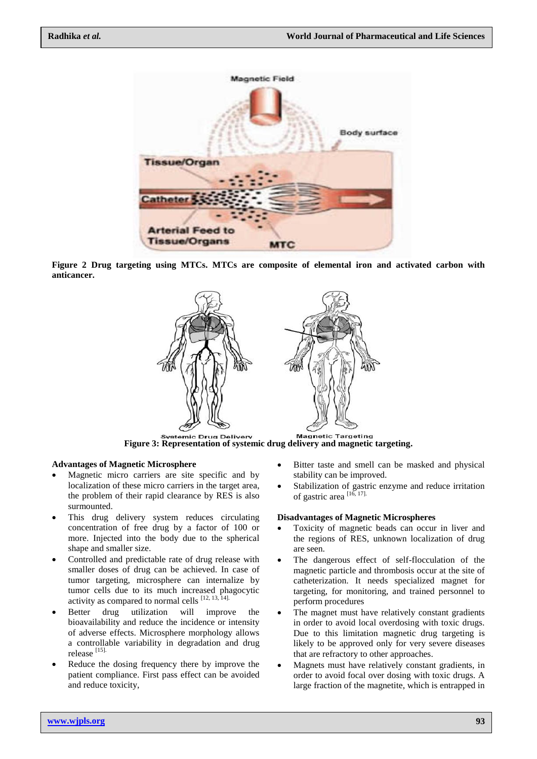

**Figure 2 Drug targeting using MTCs. MTCs are composite of elemental iron and activated carbon with anticancer.**



**Figure 3: Representation of systemic drug delivery and magnetic targeting.**

## **Advantages of Magnetic Microsphere**

- Magnetic micro carriers are site specific and by localization of these micro carriers in the target area, the problem of their rapid clearance by RES is also surmounted.
- This drug delivery system reduces circulating concentration of free drug by a factor of 100 or more. Injected into the body due to the spherical shape and smaller size.
- Controlled and predictable rate of drug release with smaller doses of drug can be achieved. In case of tumor targeting, microsphere can internalize by tumor cells due to its much increased phagocytic activity as compared to normal cells  $[12, 13, 14]$ .
- Better drug utilization will improve the bioavailability and reduce the incidence or intensity of adverse effects. Microsphere morphology allows a controllable variability in degradation and drug release [15].
- Reduce the dosing frequency there by improve the patient compliance. First pass effect can be avoided and reduce toxicity,
- Bitter taste and smell can be masked and physical stability can be improved.
- Stabilization of gastric enzyme and reduce irritation of gastric area [16, 17].

#### **Disadvantages of Magnetic Microspheres**

- Toxicity of magnetic beads can occur in liver and the regions of RES, unknown localization of drug are seen.
- The dangerous effect of self-flocculation of the magnetic particle and thrombosis occur at the site of catheterization. It needs specialized magnet for targeting, for monitoring, and trained personnel to perform procedures
- The magnet must have relatively constant gradients in order to avoid local overdosing with toxic drugs. Due to this limitation magnetic drug targeting is likely to be approved only for very severe diseases that are refractory to other approaches.
- Magnets must have relatively constant gradients, in order to avoid focal over dosing with toxic drugs. A large fraction of the magnetite, which is entrapped in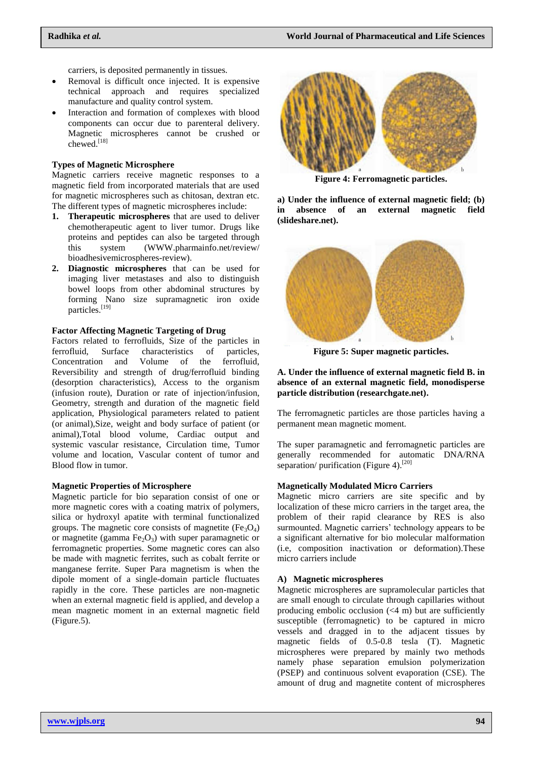carriers, is deposited permanently in tissues.

- Removal is difficult once injected. It is expensive technical approach and requires specialized manufacture and quality control system.
- Interaction and formation of complexes with blood components can occur due to parenteral delivery. Magnetic microspheres cannot be crushed or chewed.<sup>[18]</sup>

### **Types of Magnetic Microsphere**

Magnetic carriers receive magnetic responses to a magnetic field from incorporated materials that are used for magnetic microspheres such as chitosan, dextran etc. The different types of magnetic microspheres include:

- **1. Therapeutic microspheres** that are used to deliver chemotherapeutic agent to liver tumor. Drugs like proteins and peptides can also be targeted through this system (WWW.pharmainfo.net/review/ bioadhesivemicrospheres-review).
- **2. Diagnostic microspheres** that can be used for imaging liver metastases and also to distinguish bowel loops from other abdominal structures by forming Nano size supramagnetic iron oxide particles.<sup>[19]</sup>

## **Factor Affecting Magnetic Targeting of Drug**

Factors related to ferrofluids, Size of the particles in ferrofluid, Surface characteristics of particles, Concentration and Volume of the ferrofluid, Reversibility and strength of drug/ferrofluid binding (desorption characteristics), Access to the organism (infusion route), Duration or rate of injection/infusion, Geometry, strength and duration of the magnetic field application, Physiological parameters related to patient (or animal),Size, weight and body surface of patient (or animal),Total blood volume, Cardiac output and systemic vascular resistance, Circulation time, Tumor volume and location, Vascular content of tumor and Blood flow in tumor.

#### **Magnetic Properties of Microsphere**

Magnetic particle for bio separation consist of one or more magnetic cores with a coating matrix of polymers, silica or hydroxyl apatite with terminal functionalized groups. The magnetic core consists of magnetite  $(Fe_3O_4)$ or magnetite (gamma  $Fe<sub>2</sub>O<sub>3</sub>$ ) with super paramagnetic or ferromagnetic properties. Some magnetic cores can also be made with magnetic ferrites, such as cobalt ferrite or manganese ferrite. Super Para magnetism is when the dipole moment of a single-domain particle fluctuates rapidly in the core. These particles are non-magnetic when an external magnetic field is applied, and develop a mean magnetic moment in an external magnetic field (Figure.5).



**Figure 4: Ferromagnetic particles.**

**a) Under the influence of external magnetic field; (b) in absence of an external magnetic field (slideshare.net).**



**Figure 5: Super magnetic particles.**

**A. Under the influence of external magnetic field B. in absence of an external magnetic field, monodisperse particle distribution (researchgate.net).**

The ferromagnetic particles are those particles having a permanent mean magnetic moment.

The super paramagnetic and ferromagnetic particles are generally recommended for automatic DNA/RNA separation/ purification (Figure 4).<sup>[20]</sup>

#### **Magnetically Modulated Micro Carriers**

Magnetic micro carriers are site specific and by localization of these micro carriers in the target area, the problem of their rapid clearance by RES is also surmounted. Magnetic carriers' technology appears to be a significant alternative for bio molecular malformation (i.e, composition inactivation or deformation).These micro carriers include

#### **A) Magnetic microspheres**

Magnetic microspheres are supramolecular particles that are small enough to circulate through capillaries without producing embolic occlusion  $( $4 \, \text{m}$ )$  but are sufficiently susceptible (ferromagnetic) to be captured in micro vessels and dragged in to the adjacent tissues by magnetic fields of 0.5-0.8 tesla (T). Magnetic microspheres were prepared by mainly two methods namely phase separation emulsion polymerization (PSEP) and continuous solvent evaporation (CSE). The amount of drug and magnetite content of microspheres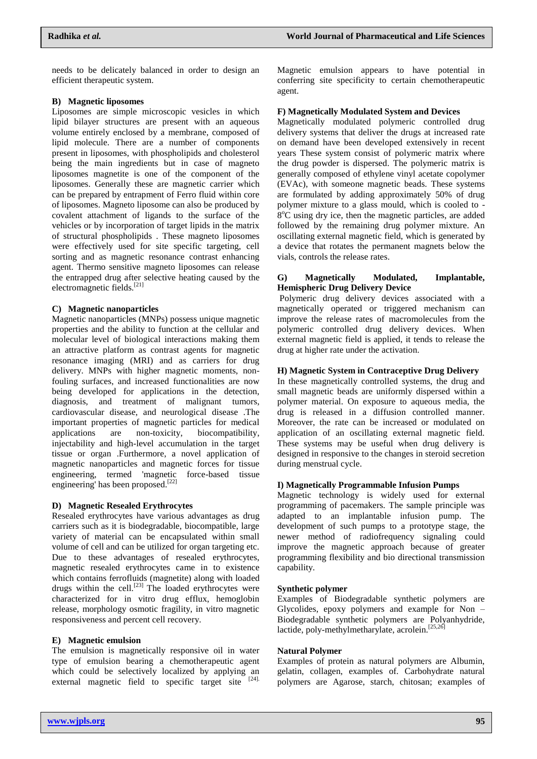needs to be delicately balanced in order to design an efficient therapeutic system.

## **B) Magnetic liposomes**

Liposomes are simple microscopic vesicles in which lipid bilayer structures are present with an aqueous volume entirely enclosed by a membrane, composed of lipid molecule. There are a number of components present in liposomes, with phospholipids and cholesterol being the main ingredients but in case of magneto liposomes magnetite is one of the component of the liposomes. Generally these are magnetic carrier which can be prepared by entrapment of Ferro fluid within core of liposomes. Magneto liposome can also be produced by covalent attachment of ligands to the surface of the vehicles or by incorporation of target lipids in the matrix of structural phospholipids . These magneto liposomes were effectively used for site specific targeting, cell sorting and as magnetic resonance contrast enhancing agent. Thermo sensitive magneto liposomes can release the entrapped drug after selective heating caused by the electromagnetic fields.<sup>[21]</sup>

## **C) Magnetic nanoparticles**

Magnetic nanoparticles (MNPs) possess unique magnetic properties and the ability to function at the cellular and molecular level of biological interactions making them an attractive platform as contrast agents for magnetic resonance imaging (MRI) and as carriers for drug delivery. MNPs with higher magnetic moments, nonfouling surfaces, and increased functionalities are now being developed for applications in the detection, diagnosis, and treatment of malignant tumors, cardiovascular disease, and neurological disease .The important properties of magnetic particles for medical applications are non-toxicity, biocompatibility, injectability and high-level accumulation in the target tissue or organ .Furthermore, a novel application of magnetic nanoparticles and magnetic forces for tissue engineering, termed 'magnetic force-based tissue engineering' has been proposed.<sup>[22]</sup>

#### **D) Magnetic Resealed Erythrocytes**

Resealed erythrocytes have various advantages as drug carriers such as it is biodegradable, biocompatible, large variety of material can be encapsulated within small volume of cell and can be utilized for organ targeting etc. Due to these advantages of resealed erythrocytes, magnetic resealed erythrocytes came in to existence which contains ferrofluids (magnetite) along with loaded drugs within the cell.<sup>[23]</sup> The loaded erythrocytes were characterized for in vitro drug efflux, hemoglobin release, morphology osmotic fragility, in vitro magnetic responsiveness and percent cell recovery.

## **E) Magnetic emulsion**

The emulsion is magnetically responsive oil in water type of emulsion bearing a chemotherapeutic agent which could be selectively localized by applying an external magnetic field to specific target site [24].

Magnetic emulsion appears to have potential in conferring site specificity to certain chemotherapeutic agent.

## **F) Magnetically Modulated System and Devices**

Magnetically modulated polymeric controlled drug delivery systems that deliver the drugs at increased rate on demand have been developed extensively in recent years These system consist of polymeric matrix where the drug powder is dispersed. The polymeric matrix is generally composed of ethylene vinyl acetate copolymer (EVAc), with someone magnetic beads. These systems are formulated by adding approximately 50% of drug polymer mixture to a glass mould, which is cooled to -  $8^{\circ}$ C using dry ice, then the magnetic particles, are added followed by the remaining drug polymer mixture. An oscillating external magnetic field, which is generated by a device that rotates the permanent magnets below the vials, controls the release rates.

## **G) Magnetically Modulated, Implantable, Hemispheric Drug Delivery Device**

Polymeric drug delivery devices associated with a magnetically operated or triggered mechanism can improve the release rates of macromolecules from the polymeric controlled drug delivery devices. When external magnetic field is applied, it tends to release the drug at higher rate under the activation.

## **H) Magnetic System in Contraceptive Drug Delivery**

In these magnetically controlled systems, the drug and small magnetic beads are uniformly dispersed within a polymer material. On exposure to aqueous media, the drug is released in a diffusion controlled manner. Moreover, the rate can be increased or modulated on application of an oscillating external magnetic field. These systems may be useful when drug delivery is designed in responsive to the changes in steroid secretion during menstrual cycle.

#### **I) Magnetically Programmable Infusion Pumps**

Magnetic technology is widely used for external programming of pacemakers. The sample principle was adapted to an implantable infusion pump. The development of such pumps to a prototype stage, the newer method of radiofrequency signaling could improve the magnetic approach because of greater programming flexibility and bio directional transmission capability.

#### **Synthetic polymer**

Examples of Biodegradable synthetic polymers are Glycolides, epoxy polymers and example for Non – Biodegradable synthetic polymers are Polyanhydride, lactide, poly-methylmetharylate, acrolein.<sup>[25,26]</sup>

### **Natural Polymer**

Examples of protein as natural polymers are Albumin, gelatin, collagen, examples of. Carbohydrate natural polymers are Agarose, starch, chitosan; examples of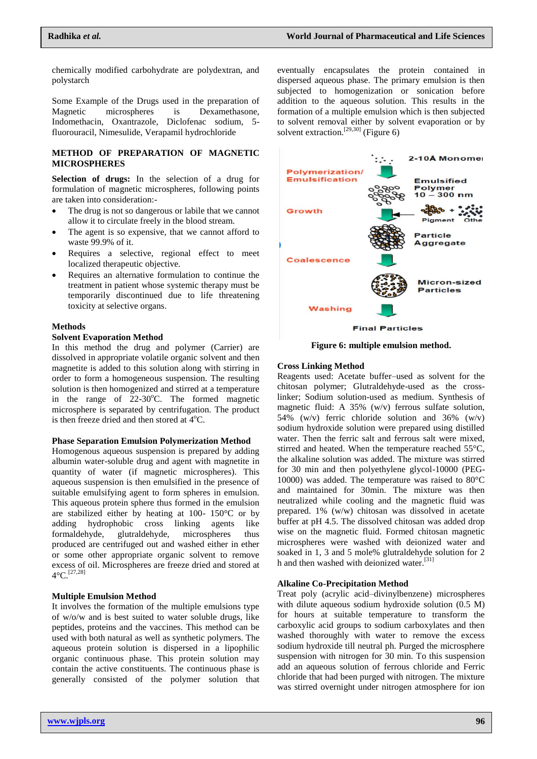chemically modified carbohydrate are polydextran, and polystarch

Some Example of the Drugs used in the preparation of Magnetic microspheres is Dexamethasone, Indomethacin, Oxantrazole, Diclofenac sodium, 5 fluorouracil, Nimesulide, Verapamil hydrochloride

## **METHOD OF PREPARATION OF MAGNETIC MICROSPHERES**

**Selection of drugs:** In the selection of a drug for formulation of magnetic microspheres, following points are taken into consideration:-

- The drug is not so dangerous or labile that we cannot allow it to circulate freely in the blood stream.
- The agent is so expensive, that we cannot afford to waste 99.9% of it.
- Requires a selective, regional effect to meet localized therapeutic objective.
- Requires an alternative formulation to continue the treatment in patient whose systemic therapy must be temporarily discontinued due to life threatening toxicity at selective organs.

#### **Methods**

#### **Solvent Evaporation Method**

In this method the drug and polymer (Carrier) are dissolved in appropriate volatile organic solvent and then magnetite is added to this solution along with stirring in order to form a homogeneous suspension. The resulting solution is then homogenized and stirred at a temperature in the range of  $22-30^{\circ}$ C. The formed magnetic microsphere is separated by centrifugation. The product is then freeze dried and then stored at  $4^{\circ}$ C.

#### **Phase Separation Emulsion Polymerization Method**

Homogenous aqueous suspension is prepared by adding albumin water-soluble drug and agent with magnetite in quantity of water (if magnetic microspheres). This aqueous suspension is then emulsified in the presence of suitable emulsifying agent to form spheres in emulsion. This aqueous protein sphere thus formed in the emulsion are stabilized either by heating at 100- 150°C or by adding hydrophobic cross linking agents like formaldehyde, glutraldehyde, microspheres thus produced are centrifuged out and washed either in ether or some other appropriate organic solvent to remove excess of oil. Microspheres are freeze dried and stored at  $4^{\circ}$ C.<sup>[27,28]</sup>

#### **Multiple Emulsion Method**

It involves the formation of the multiple emulsions type of w/o/w and is best suited to water soluble drugs, like peptides, proteins and the vaccines. This method can be used with both natural as well as synthetic polymers. The aqueous protein solution is dispersed in a lipophilic organic continuous phase. This protein solution may contain the active constituents. The continuous phase is generally consisted of the polymer solution that eventually encapsulates the protein contained in dispersed aqueous phase. The primary emulsion is then subjected to homogenization or sonication before addition to the aqueous solution. This results in the formation of a multiple emulsion which is then subjected to solvent removal either by solvent evaporation or by solvent extraction.<sup>[29,30]</sup> (Figure 6)



**Figure 6: multiple emulsion method.**

#### **Cross Linking Method**

Reagents used: Acetate buffer–used as solvent for the chitosan polymer; Glutraldehyde-used as the crosslinker; Sodium solution-used as medium. Synthesis of magnetic fluid: A 35% (w/v) ferrous sulfate solution, 54% (w/v) ferric chloride solution and 36% (w/v) sodium hydroxide solution were prepared using distilled water. Then the ferric salt and ferrous salt were mixed, stirred and heated. When the temperature reached 55°C, the alkaline solution was added. The mixture was stirred for 30 min and then polyethylene glycol-10000 (PEG-10000) was added. The temperature was raised to 80°C and maintained for 30min. The mixture was then neutralized while cooling and the magnetic fluid was prepared. 1% (w/w) chitosan was dissolved in acetate buffer at pH 4.5. The dissolved chitosan was added drop wise on the magnetic fluid. Formed chitosan magnetic microspheres were washed with deionized water and soaked in 1, 3 and 5 mole% glutraldehyde solution for 2 h and then washed with deionized water.<sup>[31]</sup>

## **Alkaline Co-Precipitation Method**

Treat poly (acrylic acid–divinylbenzene) microspheres with dilute aqueous sodium hydroxide solution (0.5 M) for hours at suitable temperature to transform the carboxylic acid groups to sodium carboxylates and then washed thoroughly with water to remove the excess sodium hydroxide till neutral ph. Purged the microsphere suspension with nitrogen for 30 min. To this suspension add an aqueous solution of ferrous chloride and Ferric chloride that had been purged with nitrogen. The mixture was stirred overnight under nitrogen atmosphere for ion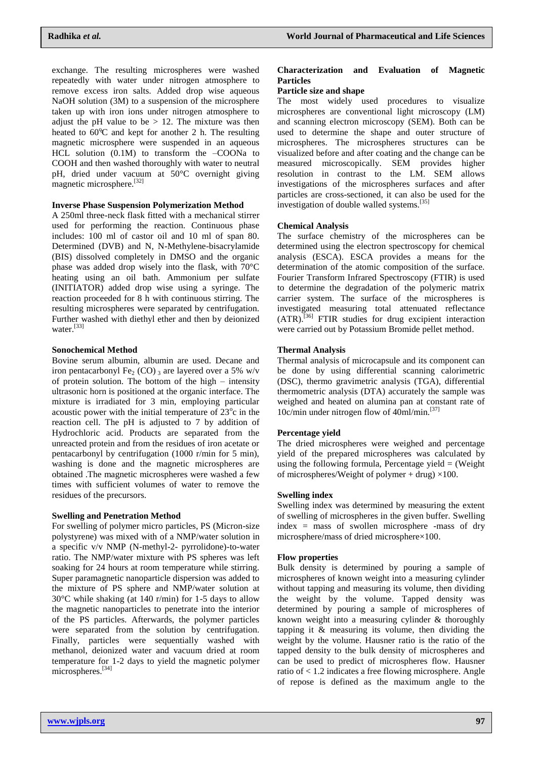exchange. The resulting microspheres were washed repeatedly with water under nitrogen atmosphere to remove excess iron salts. Added drop wise aqueous NaOH solution (3M) to a suspension of the microsphere taken up with iron ions under nitrogen atmosphere to adjust the pH value to be  $> 12$ . The mixture was then heated to  $60^{\circ}\text{C}$  and kept for another 2 h. The resulting magnetic microsphere were suspended in an aqueous HCL solution (0.1M) to transform the –COONa to COOH and then washed thoroughly with water to neutral pH, dried under vacuum at 50°C overnight giving magnetic microsphere.[32]

## **Inverse Phase Suspension Polymerization Method**

A 250ml three-neck flask fitted with a mechanical stirrer used for performing the reaction. Continuous phase includes: 100 ml of castor oil and 10 ml of span 80. Determined (DVB) and N, N-Methylene-bisacrylamide (BIS) dissolved completely in DMSO and the organic phase was added drop wisely into the flask, with 70°C heating using an oil bath. Ammonium per sulfate (INITIATOR) added drop wise using a syringe. The reaction proceeded for 8 h with continuous stirring. The resulting microspheres were separated by centrifugation. Further washed with diethyl ether and then by deionized water.<sup>[33]</sup>

## **Sonochemical Method**

Bovine serum albumin, albumin are used. Decane and iron pentacarbonyl Fe<sub>2</sub> (CO) 3 are layered over a 5% w/v of protein solution. The bottom of the high – intensity ultrasonic horn is positioned at the organic interface. The mixture is irradiated for 3 min, employing particular acoustic power with the initial temperature of  $23^{\circ}$ c in the reaction cell. The pH is adjusted to 7 by addition of Hydrochloric acid. Products are separated from the unreacted protein and from the residues of iron acetate or pentacarbonyl by centrifugation (1000 r/min for 5 min), washing is done and the magnetic microspheres are obtained .The magnetic microspheres were washed a few times with sufficient volumes of water to remove the residues of the precursors.

#### **Swelling and Penetration Method**

For swelling of polymer micro particles, PS (Micron-size polystyrene) was mixed with of a NMP/water solution in a specific v/v NMP (N-methyl-2- pyrrolidone)-to-water ratio. The NMP/water mixture with PS spheres was left soaking for 24 hours at room temperature while stirring. Super paramagnetic nanoparticle dispersion was added to the mixture of PS sphere and NMP/water solution at 30°C while shaking (at 140 r/min) for 1-5 days to allow the magnetic nanoparticles to penetrate into the interior of the PS particles. Afterwards, the polymer particles were separated from the solution by centrifugation. Finally, particles were sequentially washed with methanol, deionized water and vacuum dried at room temperature for 1-2 days to yield the magnetic polymer microspheres. [34]

## **Characterization and Evaluation of Magnetic Particles**

## **Particle size and shape**

The most widely used procedures to visualize microspheres are conventional light microscopy (LM) and scanning electron microscopy (SEM). Both can be used to determine the shape and outer structure of microspheres. The microspheres structures can be visualized before and after coating and the change can be measured microscopically. SEM provides higher resolution in contrast to the LM. SEM allows investigations of the microspheres surfaces and after particles are cross-sectioned, it can also be used for the investigation of double walled systems.[35]

## **Chemical Analysis**

The surface chemistry of the microspheres can be determined using the electron spectroscopy for chemical analysis (ESCA). ESCA provides a means for the determination of the atomic composition of the surface. Fourier Transform Infrared Spectroscopy (FTIR) is used to determine the degradation of the polymeric matrix carrier system. The surface of the microspheres is investigated measuring total attenuated reflectance (ATR).[36] FTIR studies for drug excipient interaction were carried out by Potassium Bromide pellet method.

## **Thermal Analysis**

Thermal analysis of microcapsule and its component can be done by using differential scanning calorimetric (DSC), thermo gravimetric analysis (TGA), differential thermometric analysis (DTA) accurately the sample was weighed and heated on alumina pan at constant rate of 10c/min under nitrogen flow of  $40$ ml/min.<sup>[37]</sup>

#### **Percentage yield**

The dried microspheres were weighed and percentage yield of the prepared microspheres was calculated by using the following formula, Percentage yield  $=$  (Weight of microspheres/Weight of polymer + drug)  $\times$ 100.

#### **Swelling index**

Swelling index was determined by measuring the extent of swelling of microspheres in the given buffer. Swelling index = mass of swollen microsphere -mass of dry microsphere/mass of dried microsphere×100.

#### **Flow properties**

Bulk density is determined by pouring a sample of microspheres of known weight into a measuring cylinder without tapping and measuring its volume, then dividing the weight by the volume. Tapped density was determined by pouring a sample of microspheres of known weight into a measuring cylinder & thoroughly tapping it & measuring its volume, then dividing the weight by the volume. Hausner ratio is the ratio of the tapped density to the bulk density of microspheres and can be used to predict of microspheres flow. Hausner ratio of < 1.2 indicates a free flowing microsphere. Angle of repose is defined as the maximum angle to the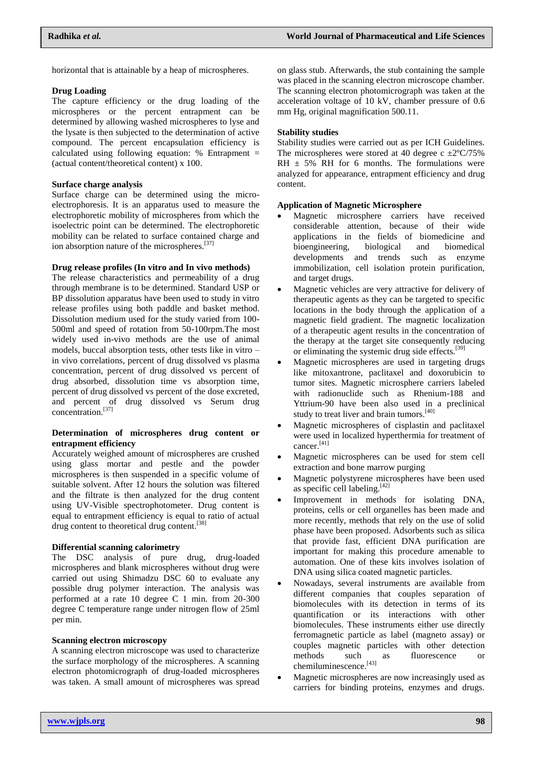horizontal that is attainable by a heap of microspheres.

#### **Drug Loading**

The capture efficiency or the drug loading of the microspheres or the percent entrapment can be determined by allowing washed microspheres to lyse and the lysate is then subjected to the determination of active compound. The percent encapsulation efficiency is calculated using following equation:  $%$  Entrapment = (actual content/theoretical content) x 100.

#### **Surface charge analysis**

Surface charge can be determined using the microelectrophoresis. It is an apparatus used to measure the electrophoretic mobility of microspheres from which the isoelectric point can be determined. The electrophoretic mobility can be related to surface contained charge and ion absorption nature of the microspheres.<sup>[37]</sup>

#### **Drug release profiles (In vitro and In vivo methods)**

The release characteristics and permeability of a drug through membrane is to be determined. Standard USP or BP dissolution apparatus have been used to study in vitro release profiles using both paddle and basket method. Dissolution medium used for the study varied from 100- 500ml and speed of rotation from 50-100rpm.The most widely used in-vivo methods are the use of animal models, buccal absorption tests, other tests like in vitro – in vivo correlations, percent of drug dissolved vs plasma concentration, percent of drug dissolved vs percent of drug absorbed, dissolution time vs absorption time, percent of drug dissolved vs percent of the dose excreted, and percent of drug dissolved vs Serum drug concentration.[37]

### **Determination of microspheres drug content or entrapment efficiency**

Accurately weighed amount of microspheres are crushed using glass mortar and pestle and the powder microspheres is then suspended in a specific volume of suitable solvent. After 12 hours the solution was filtered and the filtrate is then analyzed for the drug content using UV-Visible spectrophotometer. Drug content is equal to entrapment efficiency is equal to ratio of actual drug content to theoretical drug content.<sup>[38]</sup>

### **Differential scanning calorimetry**

The DSC analysis of pure drug, drug-loaded microspheres and blank microspheres without drug were carried out using Shimadzu DSC 60 to evaluate any possible drug polymer interaction. The analysis was performed at a rate 10 degree C 1 min. from 20-300 degree C temperature range under nitrogen flow of 25ml per min.

#### **Scanning electron microscopy**

A scanning electron microscope was used to characterize the surface morphology of the microspheres. A scanning electron photomicrograph of drug-loaded microspheres was taken. A small amount of microspheres was spread on glass stub. Afterwards, the stub containing the sample was placed in the scanning electron microscope chamber. The scanning electron photomicrograph was taken at the acceleration voltage of 10 kV, chamber pressure of 0.6 mm Hg, original magnification 500.11.

## **Stability studies**

Stability studies were carried out as per ICH Guidelines. The microspheres were stored at 40 degree c  $\pm 2^{\circ}C/75\%$ RH  $\pm$  5% RH for 6 months. The formulations were analyzed for appearance, entrapment efficiency and drug content.

#### **Application of Magnetic Microsphere**

- Magnetic microsphere carriers have received considerable attention, because of their wide applications in the fields of biomedicine and bioengineering, biological and biomedical developments and trends such as enzyme immobilization, cell isolation protein purification, and target drugs.
- Magnetic vehicles are very attractive for delivery of therapeutic agents as they can be targeted to specific locations in the body through the application of a magnetic field gradient. The magnetic localization of a therapeutic agent results in the concentration of the therapy at the target site consequently reducing or eliminating the systemic drug side effects.<sup>[39]</sup>
- Magnetic microspheres are used in targeting drugs like mitoxantrone, paclitaxel and doxorubicin to tumor sites. Magnetic microsphere carriers labeled with radionuclide such as Rhenium-188 and Yttrium-90 have been also used in a preclinical study to treat liver and brain tumors.<sup>[40]</sup>
- Magnetic microspheres of cisplastin and paclitaxel were used in localized hyperthermia for treatment of cancer.[41]
- Magnetic microspheres can be used for stem cell extraction and bone marrow purging
- Magnetic polystyrene microspheres have been used as specific cell labeling.[42]
- Improvement in methods for isolating DNA, proteins, cells or cell organelles has been made and more recently, methods that rely on the use of solid phase have been proposed. Adsorbents such as silica that provide fast, efficient DNA purification are important for making this procedure amenable to automation. One of these kits involves isolation of DNA using silica coated magnetic particles.
- Nowadays, several instruments are available from different companies that couples separation of biomolecules with its detection in terms of its quantification or its interactions with other biomolecules. These instruments either use directly ferromagnetic particle as label (magneto assay) or couples magnetic particles with other detection methods such as fluorescence chemiluminescence.<sup>[43]</sup>
- Magnetic microspheres are now increasingly used as carriers for binding proteins, enzymes and drugs.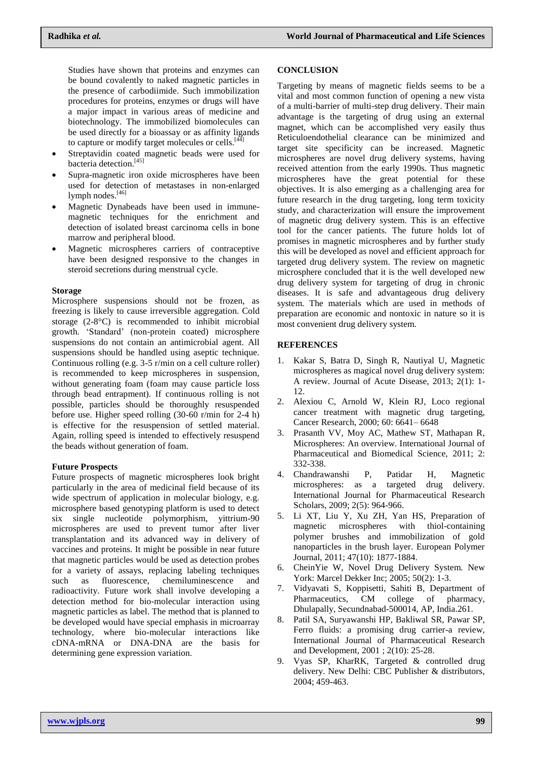Studies have shown that proteins and enzymes can be bound covalently to naked magnetic particles in the presence of carbodiimide. Such immobilization procedures for proteins, enzymes or drugs will have a major impact in various areas of medicine and biotechnology. The immobilized biomolecules can be used directly for a bioassay or as affinity ligands to capture or modify target molecules or cells. $[44]$ 

- Streptavidin coated magnetic beads were used for bacteria detection.<sup>[45]</sup>
- Supra-magnetic iron oxide microspheres have been used for detection of metastases in non-enlarged lymph nodes.<sup>[46]</sup>
- Magnetic Dynabeads have been used in immunemagnetic techniques for the enrichment and detection of isolated breast carcinoma cells in bone marrow and peripheral blood.
- Magnetic microspheres carriers of contraceptive have been designed responsive to the changes in steroid secretions during menstrual cycle.

## **Storage**

Microsphere suspensions should not be frozen, as freezing is likely to cause irreversible aggregation. Cold storage (2-8°C) is recommended to inhibit microbial growth. 'Standard' (non-protein coated) microsphere suspensions do not contain an antimicrobial agent. All suspensions should be handled using aseptic technique. Continuous rolling (e.g. 3-5 r/min on a cell culture roller) is recommended to keep microspheres in suspension, without generating foam (foam may cause particle loss through bead entrapment). If continuous rolling is not possible, particles should be thoroughly resuspended before use. Higher speed rolling (30-60 r/min for 2-4 h) is effective for the resuspension of settled material. Again, rolling speed is intended to effectively resuspend the beads without generation of foam.

#### **Future Prospects**

Future prospects of magnetic microspheres look bright particularly in the area of medicinal field because of its wide spectrum of application in molecular biology, e.g. microsphere based genotyping platform is used to detect six single nucleotide polymorphism, yittrium-90 microspheres are used to prevent tumor after liver transplantation and its advanced way in delivery of vaccines and proteins. It might be possible in near future that magnetic particles would be used as detection probes for a variety of assays, replacing labeling techniques such as fluorescence, chemiluminescence and radioactivity. Future work shall involve developing a detection method for bio-molecular interaction using magnetic particles as label. The method that is planned to be developed would have special emphasis in microarray technology, where bio-molecular interactions like cDNA-mRNA or DNA-DNA are the basis for determining gene expression variation.

#### **CONCLUSION**

Targeting by means of magnetic fields seems to be a vital and most common function of opening a new vista of a multi-barrier of multi-step drug delivery. Their main advantage is the targeting of drug using an external magnet, which can be accomplished very easily thus Reticuloendothelial clearance can be minimized and target site specificity can be increased. Magnetic microspheres are novel drug delivery systems, having received attention from the early 1990s. Thus magnetic microspheres have the great potential for these objectives. It is also emerging as a challenging area for future research in the drug targeting, long term toxicity study, and characterization will ensure the improvement of magnetic drug delivery system. This is an effective tool for the cancer patients. The future holds lot of promises in magnetic microspheres and by further study this will be developed as novel and efficient approach for targeted drug delivery system. The review on magnetic microsphere concluded that it is the well developed new drug delivery system for targeting of drug in chronic diseases. It is safe and advantageous drug delivery system. The materials which are used in methods of preparation are economic and nontoxic in nature so it is most convenient drug delivery system.

## **REFERENCES**

- 1. Kakar S, Batra D, Singh R, Nautiyal U, Magnetic microspheres as magical novel drug delivery system: A review. Journal of Acute Disease, 2013; 2(1): 1- 12.
- 2. Alexiou C, Arnold W, Klein RJ, Loco regional cancer treatment with magnetic drug targeting, Cancer Research, 2000; 60: 6641– 6648
- 3. Prasanth VV, Moy AC, Mathew ST, Mathapan R, Microspheres: An overview. International Journal of Pharmaceutical and Biomedical Science, 2011; 2: 332-338.
- 4. Chandrawanshi P, Patidar H, Magnetic microspheres: as a targeted drug delivery. International Journal for Pharmaceutical Research Scholars, 2009; 2(5): 964-966.
- 5. Li XT, Liu Y, Xu ZH, Yan HS, Preparation of magnetic microspheres with thiol-containing polymer brushes and immobilization of gold nanoparticles in the brush layer. European Polymer Journal, 2011; 47(10): 1877-1884.
- 6. CheinYie W, Novel Drug Delivery System. New York: Marcel Dekker Inc; 2005; 50(2): 1-3.
- 7. Vidyavati S, Koppisetti, Sahiti B, Department of Pharmaceutics, CM college of pharmacy, Dhulapally, Secundnabad-500014, AP, India.261.
- 8. Patil SA, Suryawanshi HP, Bakliwal SR, Pawar SP, Ferro fluids: a promising drug carrier-a review, International Journal of Pharmaceutical Research and Development, 2001 ; 2(10): 25-28.
- 9. Vyas SP, KharRK, Targeted & controlled drug delivery. New Delhi: CBC Publisher & distributors, 2004; 459-463.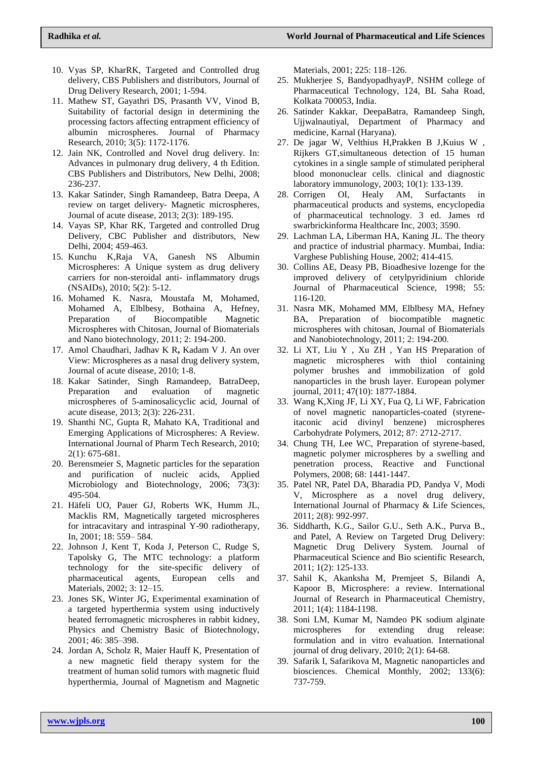- 10. Vyas SP, KharRK, Targeted and Controlled drug delivery, CBS Publishers and distributors, Journal of Drug Delivery Research, 2001; 1-594.
- 11. Mathew ST, Gayathri DS, Prasanth VV, Vinod B, Suitability of factorial design in determining the processing factors affecting entrapment efficiency of albumin microspheres. Journal of Pharmacy Research, 2010; 3(5): 1172-1176.
- 12. Jain NK, Controlled and Novel drug delivery. In: Advances in pulmonary drug delivery, 4 th Edition. CBS Publishers and Distributors, New Delhi, 2008; 236-237.
- 13. Kakar Satinder, Singh Ramandeep, Batra Deepa, A review on target delivery- Magnetic microspheres, Journal of acute disease, 2013; 2(3): 189-195.
- 14. Vayas SP, Khar RK, Targeted and controlled Drug Delivery, CBC Publisher and distributors, New Delhi, 2004; 459-463.
- 15. Kunchu K,Raja VA, Ganesh NS Albumin Microspheres: A Unique system as drug delivery carriers for non-steroidal anti- inflammatory drugs (NSAIDs), 2010; 5(2): 5-12.
- 16. Mohamed K. Nasra, Moustafa M, Mohamed, Mohamed A, Elblbesy, Bothaina A, Hefney, Preparation of Biocompatible Magnetic Microspheres with Chitosan, Journal of Biomaterials and Nano biotechnology, 2011; 2: 194-200.
- 17. Amol Chaudhari, Jadhav K R**,** Kadam V J. An over View: Microspheres as a nasal drug delivery system, Journal of acute disease, 2010; 1-8.
- 18. Kakar Satinder, Singh Ramandeep, BatraDeep, Preparation and evaluation of magnetic microspheres of 5-aminosalicyclic acid, Journal of acute disease, 2013; 2(3): 226-231.
- 19. Shanthi NC, Gupta R, Mahato KA, Traditional and Emerging Applications of Microspheres: A Review. International Journal of Pharm Tech Research, 2010; 2(1): 675-681.
- 20. Berensmeier S, Magnetic particles for the separation and purification of nucleic acids, Applied Microbiology and Biotechnology, 2006; 73(3): 495-504.
- 21. Häfeli UO, Pauer GJ, Roberts WK, Humm JL, Macklis RM, Magnetically targeted microspheres for intracavitary and intraspinal Y-90 radiotherapy, In, 2001; 18: 559– 584.
- 22. Johnson J, Kent T, Koda J, Peterson C, Rudge S, Tapolsky G, The MTC technology: a platform technology for the site-specific delivery of pharmaceutical agents, European cells and Materials, 2002; 3: 12–15.
- 23. Jones SK, Winter JG, Experimental examination of a targeted hyperthermia system using inductively heated ferromagnetic microspheres in rabbit kidney, Physics and Chemistry Basic of Biotechnology, 2001; 46: 385–398.
- 24. Jordan A, Scholz R, Maier Hauff K, Presentation of a new magnetic field therapy system for the treatment of human solid tumors with magnetic fluid hyperthermia, Journal of Magnetism and Magnetic

Materials, 2001; 225: 118–126.

- 25. Mukherjee S, BandyopadhyayP, NSHM college of Pharmaceutical Technology, 124, BL Saha Road, Kolkata 700053, India.
- 26. Satinder Kakkar, DeepaBatra, Ramandeep Singh, Ujjwalnautiyal, Department of Pharmacy and medicine, Karnal (Haryana).
- 27. De jagar W, Velthius H,Prakken B J,Kuius W , Rijkers GT,simultaneous detection of 15 human cytokines in a single sample of stimulated peripheral blood mononuclear cells. clinical and diagnostic laboratory immunology, 2003; 10(1): 133-139.
- 28. Corrigen OI, Healy AM, Surfactants in pharmaceutical products and systems, encyclopedia of pharmaceutical technology. 3 ed. James rd swarbrickinforma Healthcare Inc, 2003; 3590.
- 29. Lachman LA, Liberman HA, Kaning JL. The theory and practice of industrial pharmacy. Mumbai, India: Varghese Publishing House, 2002; 414-415.
- 30. Collins AE, Deasy PB, Bioadhesive lozenge for the improved delivery of cetylpyridinium chloride Journal of Pharmaceutical Science, 1998; 55: 116-120.
- 31. Nasra MK, Mohamed MM, Elblbesy MA, Hefney BA, Preparation of biocompatible magnetic microspheres with chitosan, Journal of Biomaterials and Nanobiotechnology, 2011; 2: 194-200.
- 32. Li XT, Liu Y , Xu ZH , Yan HS Preparation of magnetic microspheres with thiol containing polymer brushes and immobilization of gold nanoparticles in the brush layer. European polymer journal, 2011; 47(10): 1877-1884.
- 33. Wang K,Xing JF, Li XY, Fua Q, Li WF, Fabrication of novel magnetic nanoparticles-coated (styreneitaconic acid divinyl benzene) microspheres Carbohydrate Polymers, 2012; 87: 2712-2717.
- 34. Chung TH, Lee WC, Preparation of styrene-based, magnetic polymer microspheres by a swelling and penetration process, Reactive and Functional Polymers, 2008; 68: 1441-1447.
- 35. Patel NR, Patel DA, Bharadia PD, Pandya V, Modi V, Microsphere as a novel drug delivery, International Journal of Pharmacy & Life Sciences, 2011; 2(8): 992-997.
- 36. Siddharth, K.G., Sailor G.U., Seth A.K., Purva B., and Patel, A Review on Targeted Drug Delivery: Magnetic Drug Delivery System. Journal of Pharmaceutical Science and Bio scientific Research, 2011; 1(2): 125-133.
- 37. Sahil K, Akanksha M, Premjeet S, Bilandi A, Kapoor B, Microsphere: a review. International Journal of Research in Pharmaceutical Chemistry, 2011; 1(4): 1184-1198.
- 38. Soni LM, Kumar M, Namdeo PK sodium alginate microspheres for extending drug release: formulation and in vitro evaluation. International journal of drug delivary, 2010; 2(1): 64-68.
- 39. Safarik I, Safarikova M, Magnetic nanoparticles and biosciences. Chemical Monthly, 2002; 133(6): 737-759.